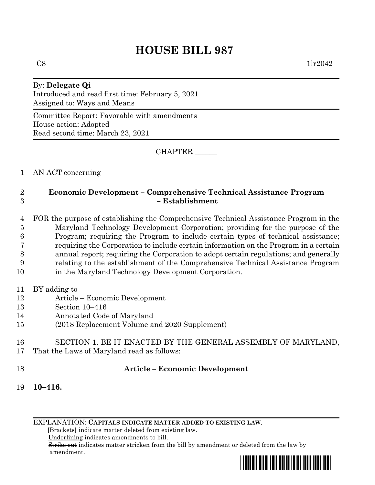# **HOUSE BILL 987**

#### By: **Delegate Qi** Introduced and read first time: February 5, 2021 Assigned to: Ways and Means

Committee Report: Favorable with amendments House action: Adopted Read second time: March 23, 2021

CHAPTER \_\_\_\_\_\_

1 AN ACT concerning

## 2 **Economic Development – Comprehensive Technical Assistance Program** 3 **– Establishment**

 FOR the purpose of establishing the Comprehensive Technical Assistance Program in the Maryland Technology Development Corporation; providing for the purpose of the Program; requiring the Program to include certain types of technical assistance; requiring the Corporation to include certain information on the Program in a certain annual report; requiring the Corporation to adopt certain regulations; and generally relating to the establishment of the Comprehensive Technical Assistance Program in the Maryland Technology Development Corporation.

- 11 BY adding to
- 12 Article Economic Development
- 13 Section 10–416
- 14 Annotated Code of Maryland
- 15 (2018 Replacement Volume and 2020 Supplement)
- 16 SECTION 1. BE IT ENACTED BY THE GENERAL ASSEMBLY OF MARYLAND,
- 17 That the Laws of Maryland read as follows:
- 

## 18 **Article – Economic Development**

19 **10–416.**

EXPLANATION: **CAPITALS INDICATE MATTER ADDED TO EXISTING LAW**.

 **[**Brackets**]** indicate matter deleted from existing law.

Underlining indicates amendments to bill.

 Strike out indicates matter stricken from the bill by amendment or deleted from the law by amendment.